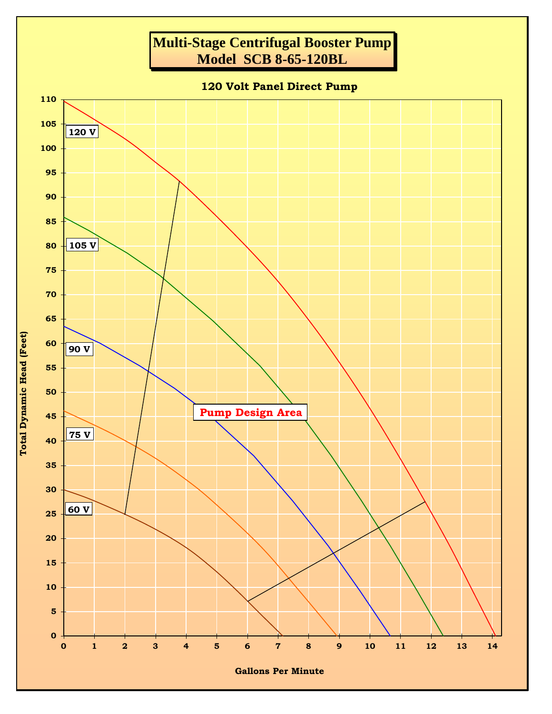